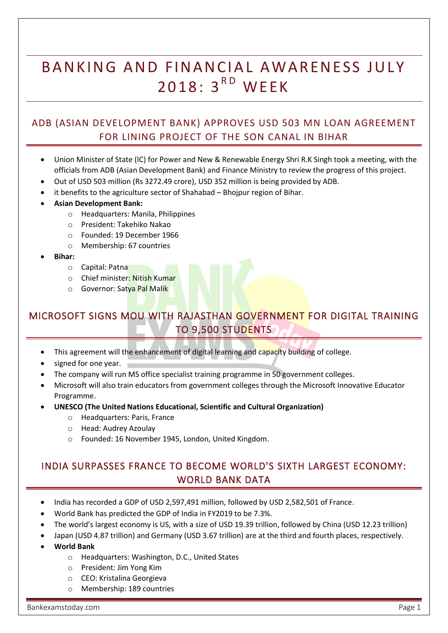# BANKING AND FINANCIAL AWARENESS JULY 2018: 3<sup>RD</sup> WEEK

### ADB (ASIAN DEVELOPMENT BANK) APPROVES USD 503 MN LOAN AGREEMENT FOR LINING PROJECT OF THE SON CANAL IN BIHAR

- Union Minister of State (IC) for Power and New & Renewable Energy Shri R.K Singh took a meeting, with the officials from ADB (Asian Development Bank) and Finance Ministry to review the progress of this project.
- Out of USD 503 million (Rs 3272.49 crore), USD 352 million is being provided by ADB.
- it benefits to the agriculture sector of Shahabad Bhojpur region of Bihar.
- **Asian Development Bank:**
	- o Headquarters: Manila, Philippines
	- o President: Takehiko Nakao
	- o Founded: 19 December 1966
	- o Membership: 67 countries
- **Bihar:**
	- o Capital: Patna
	- o Chief minister: Nitish Kumar
	- o Governor: Satya Pal Malik

# MICROSOFT SIGNS MOU WITH RAJASTHAN GOVERNMENT FOR DIGITAL TRAINING TO 9,500 STUDENTS

- This agreement will the enhancement of digital learning and capacity building of college.
- signed for one year.
- The company will run MS office specialist training programme in 50 government colleges.
- Microsoft will also train educators from government colleges through the Microsoft Innovative Educator Programme.
- **UNESCO (The United Nations Educational, Scientific and Cultural Organization)**
	- o Headquarters: Paris, France
	- o Head: Audrey Azoulay
	- o Founded: 16 November 1945, London, United Kingdom.

### INDIA SURPASSES FRANCE TO BECOME WORLD'S SIXTH LARGEST ECONOMY: WORLD BANK DATA

- India has recorded a GDP of USD 2,597,491 million, followed by USD 2,582,501 of France.
- World Bank has predicted the GDP of India in FY2019 to be 7.3%.
- The world's largest economy is US, with a size of USD 19.39 trillion, followed by China (USD 12.23 trillion)
- Japan (USD 4.87 trillion) and Germany (USD 3.67 trillion) are at the third and fourth places, respectively.
- **World Bank**
	- o Headquarters: Washington, D.C., United States
	- o President: Jim Yong Kim
	- o CEO: Kristalina Georgieva
	- o Membership: 189 countries